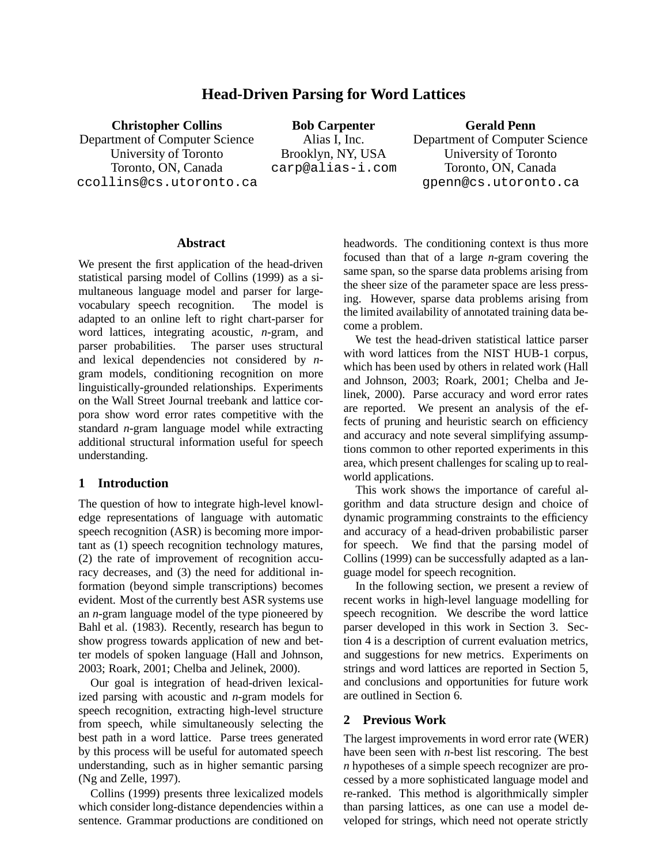# **Head-Driven Parsing for Word Lattices**

**Christopher Collins**

Department of Computer Science University of Toronto Toronto, ON, Canada ccollins@cs.utoronto.ca

**Bob Carpenter** Alias I, Inc. Brooklyn, NY, USA carp@alias-i.com

# **Gerald Penn**

Department of Computer Science University of Toronto Toronto, ON, Canada gpenn@cs.utoronto.ca

### **Abstract**

We present the first application of the head-driven statistical parsing model of Collins (1999) as a simultaneous language model and parser for largevocabulary speech recognition. The model is adapted to an online left to right chart-parser for word lattices, integrating acoustic, *n*-gram, and parser probabilities. The parser uses structural and lexical dependencies not considered by *n*gram models, conditioning recognition on more linguistically-grounded relationships. Experiments on the Wall Street Journal treebank and lattice corpora show word error rates competitive with the standard *n*-gram language model while extracting additional structural information useful for speech understanding.

# **1 Introduction**

The question of how to integrate high-level knowledge representations of language with automatic speech recognition (ASR) is becoming more important as (1) speech recognition technology matures, (2) the rate of improvement of recognition accuracy decreases, and (3) the need for additional information (beyond simple transcriptions) becomes evident. Most of the currently best ASR systems use an *n*-gram language model of the type pioneered by Bahl et al. (1983). Recently, research has begun to show progress towards application of new and better models of spoken language (Hall and Johnson, 2003; Roark, 2001; Chelba and Jelinek, 2000).

Our goal is integration of head-driven lexicalized parsing with acoustic and *n*-gram models for speech recognition, extracting high-level structure from speech, while simultaneously selecting the best path in a word lattice. Parse trees generated by this process will be useful for automated speech understanding, such as in higher semantic parsing (Ng and Zelle, 1997).

Collins (1999) presents three lexicalized models which consider long-distance dependencies within a sentence. Grammar productions are conditioned on headwords. The conditioning context is thus more focused than that of a large *n*-gram covering the same span, so the sparse data problems arising from the sheer size of the parameter space are less pressing. However, sparse data problems arising from the limited availability of annotated training data become a problem.

We test the head-driven statistical lattice parser with word lattices from the NIST HUB-1 corpus, which has been used by others in related work (Hall and Johnson, 2003; Roark, 2001; Chelba and Jelinek, 2000). Parse accuracy and word error rates are reported. We present an analysis of the effects of pruning and heuristic search on efficiency and accuracy and note several simplifying assumptions common to other reported experiments in this area, which present challenges for scaling up to realworld applications.

This work shows the importance of careful algorithm and data structure design and choice of dynamic programming constraints to the efficiency and accuracy of a head-driven probabilistic parser for speech. We find that the parsing model of Collins (1999) can be successfully adapted as a language model for speech recognition.

In the following section, we present a review of recent works in high-level language modelling for speech recognition. We describe the word lattice parser developed in this work in Section 3. Section 4 is a description of current evaluation metrics, and suggestions for new metrics. Experiments on strings and word lattices are reported in Section 5, and conclusions and opportunities for future work are outlined in Section 6.

# **2 Previous Work**

The largest improvements in word error rate (WER) have been seen with *n*-best list rescoring. The best *n* hypotheses of a simple speech recognizer are processed by a more sophisticated language model and re-ranked. This method is algorithmically simpler than parsing lattices, as one can use a model developed for strings, which need not operate strictly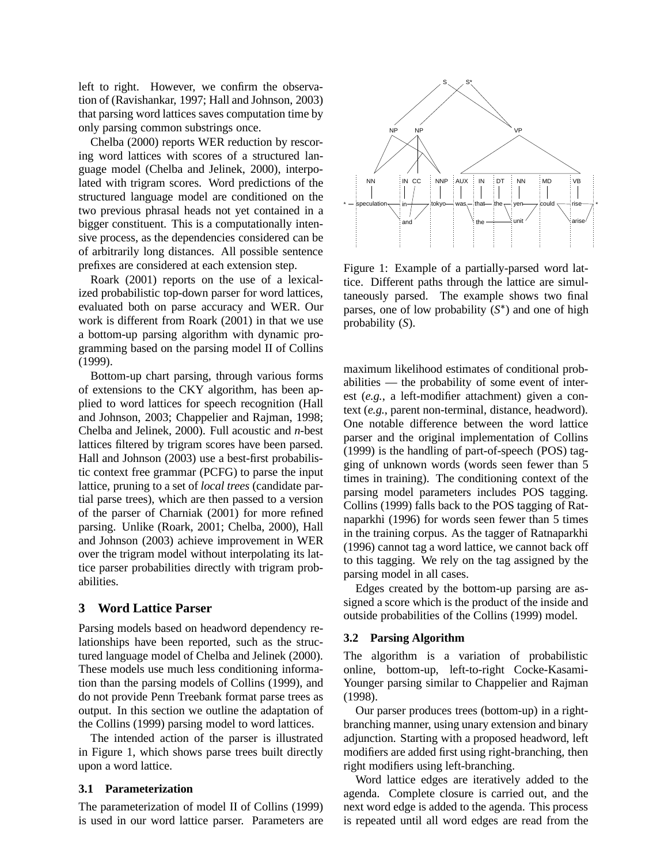left to right. However, we confirm the observation of (Ravishankar, 1997; Hall and Johnson, 2003) that parsing word lattices saves computation time by only parsing common substrings once.

Chelba (2000) reports WER reduction by rescoring word lattices with scores of a structured language model (Chelba and Jelinek, 2000), interpolated with trigram scores. Word predictions of the structured language model are conditioned on the two previous phrasal heads not yet contained in a bigger constituent. This is a computationally intensive process, as the dependencies considered can be of arbitrarily long distances. All possible sentence prefixes are considered at each extension step.

Roark (2001) reports on the use of a lexicalized probabilistic top-down parser for word lattices, evaluated both on parse accuracy and WER. Our work is different from Roark (2001) in that we use a bottom-up parsing algorithm with dynamic programming based on the parsing model II of Collins (1999).

Bottom-up chart parsing, through various forms of extensions to the CKY algorithm, has been applied to word lattices for speech recognition (Hall and Johnson, 2003; Chappelier and Rajman, 1998; Chelba and Jelinek, 2000). Full acoustic and *n*-best lattices filtered by trigram scores have been parsed. Hall and Johnson (2003) use a best-first probabilistic context free grammar (PCFG) to parse the input lattice, pruning to a set of *local trees* (candidate partial parse trees), which are then passed to a version of the parser of Charniak (2001) for more refined parsing. Unlike (Roark, 2001; Chelba, 2000), Hall and Johnson (2003) achieve improvement in WER over the trigram model without interpolating its lattice parser probabilities directly with trigram probabilities.

# **3 Word Lattice Parser**

Parsing models based on headword dependency relationships have been reported, such as the structured language model of Chelba and Jelinek (2000). These models use much less conditioning information than the parsing models of Collins (1999), and do not provide Penn Treebank format parse trees as output. In this section we outline the adaptation of the Collins (1999) parsing model to word lattices.

The intended action of the parser is illustrated in Figure 1, which shows parse trees built directly upon a word lattice.

#### **3.1 Parameterization**

The parameterization of model II of Collins (1999) is used in our word lattice parser. Parameters are



Figure 1: Example of a partially-parsed word lattice. Different paths through the lattice are simultaneously parsed. The example shows two final parses, one of low probability  $(S^*)$  and one of high probability (*S*).

maximum likelihood estimates of conditional probabilities — the probability of some event of interest (*e.g.*, a left-modifier attachment) given a context (*e.g.*, parent non-terminal, distance, headword). One notable difference between the word lattice parser and the original implementation of Collins (1999) is the handling of part-of-speech (POS) tagging of unknown words (words seen fewer than 5 times in training). The conditioning context of the parsing model parameters includes POS tagging. Collins (1999) falls back to the POS tagging of Ratnaparkhi (1996) for words seen fewer than 5 times in the training corpus. As the tagger of Ratnaparkhi (1996) cannot tag a word lattice, we cannot back off to this tagging. We rely on the tag assigned by the parsing model in all cases.

Edges created by the bottom-up parsing are assigned a score which is the product of the inside and outside probabilities of the Collins (1999) model.

#### **3.2 Parsing Algorithm**

The algorithm is a variation of probabilistic online, bottom-up, left-to-right Cocke-Kasami-Younger parsing similar to Chappelier and Rajman (1998).

Our parser produces trees (bottom-up) in a rightbranching manner, using unary extension and binary adjunction. Starting with a proposed headword, left modifiers are added first using right-branching, then right modifiers using left-branching.

Word lattice edges are iteratively added to the agenda. Complete closure is carried out, and the next word edge is added to the agenda. This process is repeated until all word edges are read from the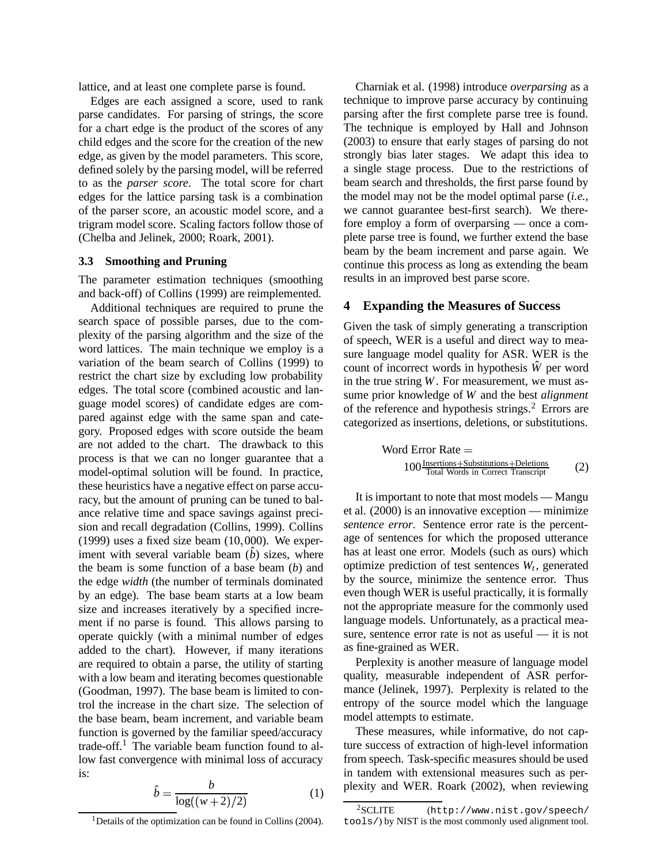lattice, and at least one complete parse is found.

Edges are each assigned a score, used to rank parse candidates. For parsing of strings, the score for a chart edge is the product of the scores of any child edges and the score for the creation of the new edge, as given by the model parameters. This score, defined solely by the parsing model, will be referred to as the *parser score*. The total score for chart edges for the lattice parsing task is a combination of the parser score, an acoustic model score, and a trigram model score. Scaling factors follow those of (Chelba and Jelinek, 2000; Roark, 2001).

### **3.3 Smoothing and Pruning**

The parameter estimation techniques (smoothing and back-off) of Collins (1999) are reimplemented.

Additional techniques are required to prune the search space of possible parses, due to the complexity of the parsing algorithm and the size of the word lattices. The main technique we employ is a variation of the beam search of Collins (1999) to restrict the chart size by excluding low probability edges. The total score (combined acoustic and language model scores) of candidate edges are compared against edge with the same span and category. Proposed edges with score outside the beam are not added to the chart. The drawback to this process is that we can no longer guarantee that a model-optimal solution will be found. In practice, these heuristics have a negative effect on parse accuracy, but the amount of pruning can be tuned to balance relative time and space savings against precision and recall degradation (Collins, 1999). Collins  $(1999)$  uses a fixed size beam  $(10,000)$ . We experiment with several variable beam  $(\hat{b})$  sizes, where the beam is some function of a base beam (*b*) and the edge *width* (the number of terminals dominated by an edge). The base beam starts at a low beam size and increases iteratively by a specified increment if no parse is found. This allows parsing to operate quickly (with a minimal number of edges added to the chart). However, if many iterations are required to obtain a parse, the utility of starting with a low beam and iterating becomes questionable (Goodman, 1997). The base beam is limited to control the increase in the chart size. The selection of the base beam, beam increment, and variable beam function is governed by the familiar speed/accuracy trade-off.<sup>1</sup> The variable beam function found to allow fast convergence with minimal loss of accuracy is:

$$
\hat{b} = \frac{b}{\log((w+2)/2)}\tag{1}
$$

Charniak et al. (1998) introduce *overparsing* as a technique to improve parse accuracy by continuing parsing after the first complete parse tree is found. The technique is employed by Hall and Johnson (2003) to ensure that early stages of parsing do not strongly bias later stages. We adapt this idea to a single stage process. Due to the restrictions of beam search and thresholds, the first parse found by the model may not be the model optimal parse (*i.e.*, we cannot guarantee best-first search). We therefore employ a form of overparsing — once a complete parse tree is found, we further extend the base beam by the beam increment and parse again. We continue this process as long as extending the beam results in an improved best parse score.

# **4 Expanding the Measures of Success**

Given the task of simply generating a transcription of speech, WER is a useful and direct way to measure language model quality for ASR. WER is the count of incorrect words in hypothesis *W*ˆ per word in the true string *W*. For measurement, we must assume prior knowledge of *W* and the best *alignment* of the reference and hypothesis strings.<sup>2</sup> Errors are categorized as insertions, deletions, or substitutions.

Word Error Rate =

\n
$$
100 \frac{\text{Insertions} + \text{Substitutions} + \text{Deletions}}{\text{Total Words in Correct Transfer}} \tag{2}
$$

It is important to note that most models — Mangu et al. (2000) is an innovative exception — minimize *sentence error*. Sentence error rate is the percentage of sentences for which the proposed utterance has at least one error. Models (such as ours) which optimize prediction of test sentences *W<sup>t</sup>* , generated by the source, minimize the sentence error. Thus even though WER is useful practically, it is formally not the appropriate measure for the commonly used language models. Unfortunately, as a practical measure, sentence error rate is not as useful — it is not as fine-grained as WER.

Perplexity is another measure of language model quality, measurable independent of ASR performance (Jelinek, 1997). Perplexity is related to the entropy of the source model which the language model attempts to estimate.

These measures, while informative, do not capture success of extraction of high-level information from speech. Task-specific measures should be used in tandem with extensional measures such as perplexity and WER. Roark (2002), when reviewing

<sup>&</sup>lt;sup>1</sup>Details of the optimization can be found in Collins (2004).

<sup>2</sup>SCLITE (http://www.nist.gov/speech/ tools/) by NIST is the most commonly used alignment tool.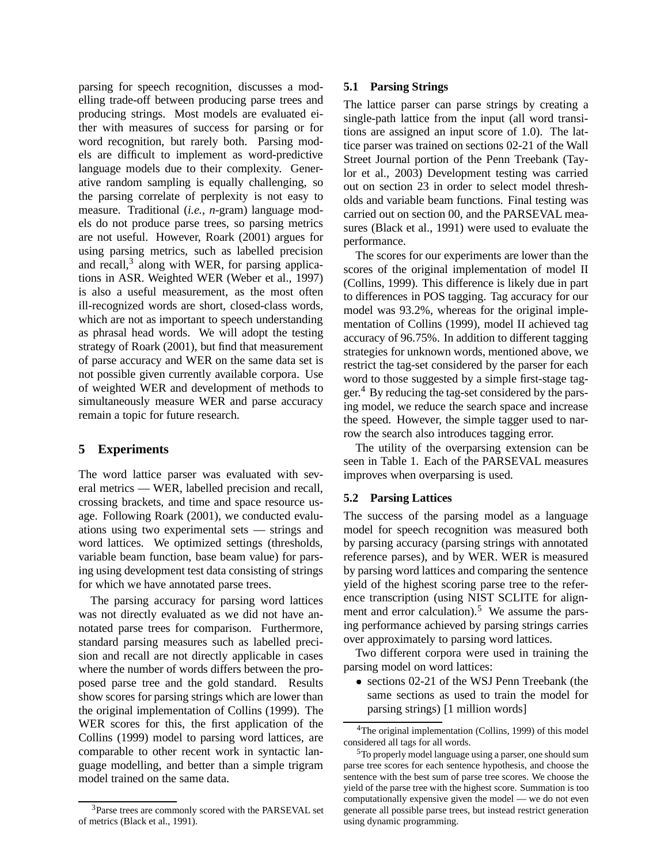parsing for speech recognition, discusses a modelling trade-off between producing parse trees and producing strings. Most models are evaluated either with measures of success for parsing or for word recognition, but rarely both. Parsing models are difficult to implement as word-predictive language models due to their complexity. Generative random sampling is equally challenging, so the parsing correlate of perplexity is not easy to measure. Traditional (*i.e.*, *n*-gram) language models do not produce parse trees, so parsing metrics are not useful. However, Roark (2001) argues for using parsing metrics, such as labelled precision and recall,<sup>3</sup> along with WER, for parsing applications in ASR. Weighted WER (Weber et al., 1997) is also a useful measurement, as the most often ill-recognized words are short, closed-class words, which are not as important to speech understanding as phrasal head words. We will adopt the testing strategy of Roark (2001), but find that measurement of parse accuracy and WER on the same data set is not possible given currently available corpora. Use of weighted WER and development of methods to simultaneously measure WER and parse accuracy remain a topic for future research.

# **5 Experiments**

The word lattice parser was evaluated with several metrics — WER, labelled precision and recall, crossing brackets, and time and space resource usage. Following Roark (2001), we conducted evaluations using two experimental sets — strings and word lattices. We optimized settings (thresholds, variable beam function, base beam value) for parsing using development test data consisting of strings for which we have annotated parse trees.

The parsing accuracy for parsing word lattices was not directly evaluated as we did not have annotated parse trees for comparison. Furthermore, standard parsing measures such as labelled precision and recall are not directly applicable in cases where the number of words differs between the proposed parse tree and the gold standard. Results show scores for parsing strings which are lower than the original implementation of Collins (1999). The WER scores for this, the first application of the Collins (1999) model to parsing word lattices, are comparable to other recent work in syntactic language modelling, and better than a simple trigram model trained on the same data.

#### **5.1 Parsing Strings**

The lattice parser can parse strings by creating a single-path lattice from the input (all word transitions are assigned an input score of 1.0). The lattice parser was trained on sections 02-21 of the Wall Street Journal portion of the Penn Treebank (Taylor et al., 2003) Development testing was carried out on section 23 in order to select model thresholds and variable beam functions. Final testing was carried out on section 00, and the PARSEVAL measures (Black et al., 1991) were used to evaluate the performance.

The scores for our experiments are lower than the scores of the original implementation of model II (Collins, 1999). This difference is likely due in part to differences in POS tagging. Tag accuracy for our model was 93.2%, whereas for the original implementation of Collins (1999), model II achieved tag accuracy of 96.75%. In addition to different tagging strategies for unknown words, mentioned above, we restrict the tag-set considered by the parser for each word to those suggested by a simple first-stage tagger. <sup>4</sup> By reducing the tag-set considered by the parsing model, we reduce the search space and increase the speed. However, the simple tagger used to narrow the search also introduces tagging error.

The utility of the overparsing extension can be seen in Table 1. Each of the PARSEVAL measures improves when overparsing is used.

### **5.2 Parsing Lattices**

The success of the parsing model as a language model for speech recognition was measured both by parsing accuracy (parsing strings with annotated reference parses), and by WER. WER is measured by parsing word lattices and comparing the sentence yield of the highest scoring parse tree to the reference transcription (using NIST SCLITE for alignment and error calculation).<sup>5</sup> We assume the parsing performance achieved by parsing strings carries over approximately to parsing word lattices.

Two different corpora were used in training the parsing model on word lattices:

 sections 02-21 of the WSJ Penn Treebank (the same sections as used to train the model for parsing strings) [1 million words]

<sup>3</sup>Parse trees are commonly scored with the PARSEVAL set of metrics (Black et al., 1991).

<sup>4</sup>The original implementation (Collins, 1999) of this model considered all tags for all words.

<sup>5</sup>To properly model language using a parser, one should sum parse tree scores for each sentence hypothesis, and choose the sentence with the best sum of parse tree scores. We choose the yield of the parse tree with the highest score. Summation is too computationally expensive given the model — we do not even generate all possible parse trees, but instead restrict generation using dynamic programming.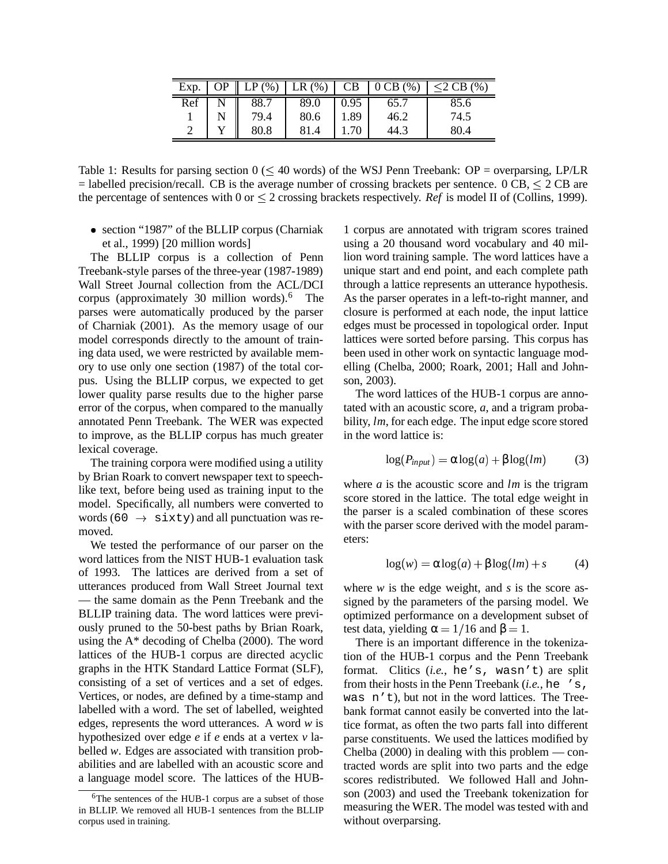| Exp. | ∩P | LP(%) | LR $\overline{(\%)}$ | CB   | $\mid$ 0 CB $(\% )$ | 2 CB (%) |
|------|----|-------|----------------------|------|---------------------|----------|
| Ref  |    | 88.7  | 89.0                 | 0.95 | 65.7                | 85.6     |
|      |    | 79.4  | 80.6                 | 1.89 | 46.2                | 74.5     |
| ∠    |    | 80.8  | 81.4                 |      | 44.3                | 80.4     |

Table 1: Results for parsing section  $0 \leq 40$  words) of the WSJ Penn Treebank: OP = overparsing, LP/LR  $=$  labelled precision/recall. CB is the average number of crossing brackets per sentence. 0 CB,  $\leq$  2 CB are the percentage of sentences with  $0$  or  $\leq 2$  crossing brackets respectively. *Ref* is model II of (Collins, 1999).

 section "1987" of the BLLIP corpus (Charniak et al., 1999) [20 million words]

The BLLIP corpus is a collection of Penn Treebank-style parses of the three-year (1987-1989) Wall Street Journal collection from the ACL/DCI corpus (approximately 30 million words).<sup>6</sup> The parses were automatically produced by the parser of Charniak (2001). As the memory usage of our model corresponds directly to the amount of training data used, we were restricted by available memory to use only one section (1987) of the total corpus. Using the BLLIP corpus, we expected to get lower quality parse results due to the higher parse error of the corpus, when compared to the manually annotated Penn Treebank. The WER was expected to improve, as the BLLIP corpus has much greater lexical coverage.

The training corpora were modified using a utility by Brian Roark to convert newspaper text to speechlike text, before being used as training input to the model. Specifically, all numbers were converted to words (60  $\rightarrow$  sixty) and all punctuation was removed.

We tested the performance of our parser on the word lattices from the NIST HUB-1 evaluation task of 1993. The lattices are derived from a set of utterances produced from Wall Street Journal text — the same domain as the Penn Treebank and the BLLIP training data. The word lattices were previously pruned to the 50-best paths by Brian Roark, using the A\* decoding of Chelba (2000). The word lattices of the HUB-1 corpus are directed acyclic graphs in the HTK Standard Lattice Format (SLF), consisting of a set of vertices and a set of edges. Vertices, or nodes, are defined by a time-stamp and labelled with a word. The set of labelled, weighted edges, represents the word utterances. A word *w* is hypothesized over edge *e* if *e* ends at a vertex *v* labelled *w*. Edges are associated with transition probabilities and are labelled with an acoustic score and a language model score. The lattices of the HUB-

1 corpus are annotated with trigram scores trained using a 20 thousand word vocabulary and 40 million word training sample. The word lattices have a unique start and end point, and each complete path through a lattice represents an utterance hypothesis. As the parser operates in a left-to-right manner, and closure is performed at each node, the input lattice edges must be processed in topological order. Input lattices were sorted before parsing. This corpus has been used in other work on syntactic language modelling (Chelba, 2000; Roark, 2001; Hall and Johnson, 2003).

The word lattices of the HUB-1 corpus are annotated with an acoustic score, *a*, and a trigram probability, *lm*, for each edge. The input edge score stored in the word lattice is:

$$
\log(P_{input}) = \alpha \log(a) + \beta \log(lm) \tag{3}
$$

where *a* is the acoustic score and *lm* is the trigram score stored in the lattice. The total edge weight in the parser is a scaled combination of these scores with the parser score derived with the model parameters:

$$
\log(w) = \alpha \log(a) + \beta \log(lm) + s \tag{4}
$$

where *w* is the edge weight, and *s* is the score assigned by the parameters of the parsing model. We optimized performance on a development subset of test data, yielding  $\alpha = 1/16$  and  $\beta = 1$ .

There is an important difference in the tokenization of the HUB-1 corpus and the Penn Treebank format. Clitics (*i.e.*, he's, wasn't) are split from their hosts in the Penn Treebank (*i.e.*, he 's, was n't), but not in the word lattices. The Treebank format cannot easily be converted into the lattice format, as often the two parts fall into different parse constituents. We used the lattices modified by Chelba  $(2000)$  in dealing with this problem — contracted words are split into two parts and the edge scores redistributed. We followed Hall and Johnson (2003) and used the Treebank tokenization for measuring the WER. The model was tested with and without overparsing.

<sup>6</sup>The sentences of the HUB-1 corpus are a subset of those in BLLIP. We removed all HUB-1 sentences from the BLLIP corpus used in training.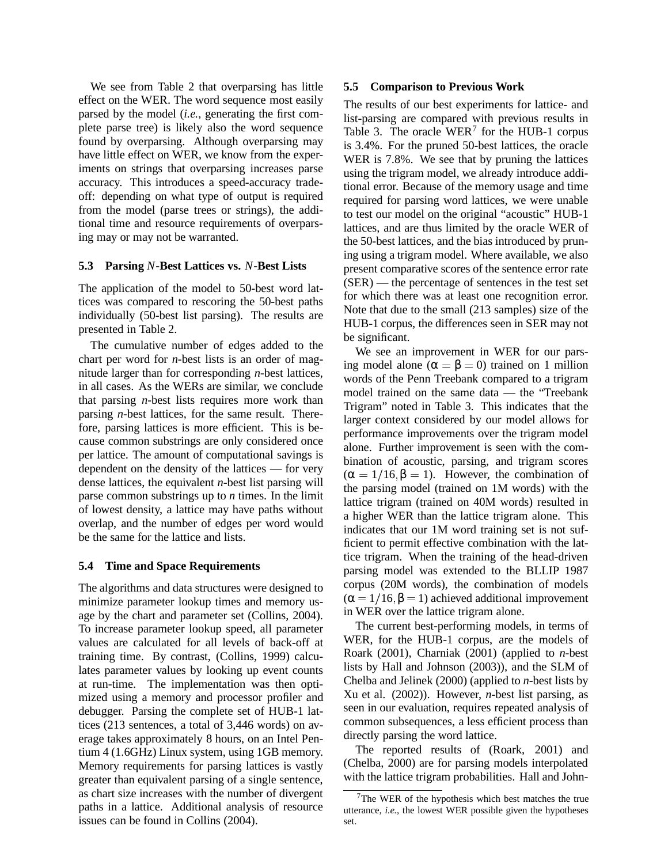We see from Table 2 that overparsing has little effect on the WER. The word sequence most easily parsed by the model (*i.e.*, generating the first complete parse tree) is likely also the word sequence found by overparsing. Although overparsing may have little effect on WER, we know from the experiments on strings that overparsing increases parse accuracy. This introduces a speed-accuracy tradeoff: depending on what type of output is required from the model (parse trees or strings), the additional time and resource requirements of overparsing may or may not be warranted.

#### **5.3 Parsing** *N***-Best Lattices vs.** *N***-Best Lists**

The application of the model to 50-best word lattices was compared to rescoring the 50-best paths individually (50-best list parsing). The results are presented in Table 2.

The cumulative number of edges added to the chart per word for *n*-best lists is an order of magnitude larger than for corresponding *n*-best lattices, in all cases. As the WERs are similar, we conclude that parsing *n*-best lists requires more work than parsing *n*-best lattices, for the same result. Therefore, parsing lattices is more efficient. This is because common substrings are only considered once per lattice. The amount of computational savings is dependent on the density of the lattices — for very dense lattices, the equivalent *n*-best list parsing will parse common substrings up to *n* times. In the limit of lowest density, a lattice may have paths without overlap, and the number of edges per word would be the same for the lattice and lists.

#### **5.4 Time and Space Requirements**

The algorithms and data structures were designed to minimize parameter lookup times and memory usage by the chart and parameter set (Collins, 2004). To increase parameter lookup speed, all parameter values are calculated for all levels of back-off at training time. By contrast, (Collins, 1999) calculates parameter values by looking up event counts at run-time. The implementation was then optimized using a memory and processor profiler and debugger. Parsing the complete set of HUB-1 lattices (213 sentences, a total of 3,446 words) on average takes approximately 8 hours, on an Intel Pentium 4 (1.6GHz) Linux system, using 1GB memory. Memory requirements for parsing lattices is vastly greater than equivalent parsing of a single sentence, as chart size increases with the number of divergent paths in a lattice. Additional analysis of resource issues can be found in Collins (2004).

#### **5.5 Comparison to Previous Work**

The results of our best experiments for lattice- and list-parsing are compared with previous results in Table 3. The oracle  $WER^7$  for the HUB-1 corpus is 3.4%. For the pruned 50-best lattices, the oracle WER is 7.8%. We see that by pruning the lattices using the trigram model, we already introduce additional error. Because of the memory usage and time required for parsing word lattices, we were unable to test our model on the original "acoustic" HUB-1 lattices, and are thus limited by the oracle WER of the 50-best lattices, and the bias introduced by pruning using a trigram model. Where available, we also present comparative scores of the sentence error rate (SER) — the percentage of sentences in the test set for which there was at least one recognition error. Note that due to the small (213 samples) size of the HUB-1 corpus, the differences seen in SER may not be significant.

We see an improvement in WER for our parsing model alone ( $\alpha = \beta = 0$ ) trained on 1 million words of the Penn Treebank compared to a trigram model trained on the same data — the "Treebank Trigram" noted in Table 3. This indicates that the larger context considered by our model allows for performance improvements over the trigram model alone. Further improvement is seen with the combination of acoustic, parsing, and trigram scores  $(\alpha = 1/16, \beta = 1)$ . However, the combination of the parsing model (trained on 1M words) with the lattice trigram (trained on 40M words) resulted in a higher WER than the lattice trigram alone. This indicates that our 1M word training set is not sufficient to permit effective combination with the lattice trigram. When the training of the head-driven parsing model was extended to the BLLIP 1987 corpus (20M words), the combination of models  $(\alpha = 1/16, \beta = 1)$  achieved additional improvement in WER over the lattice trigram alone.

The current best-performing models, in terms of WER, for the HUB-1 corpus, are the models of Roark (2001), Charniak (2001) (applied to *n*-best lists by Hall and Johnson (2003)), and the SLM of Chelba and Jelinek (2000) (applied to *n*-best lists by Xu et al. (2002)). However, *n*-best list parsing, as seen in our evaluation, requires repeated analysis of common subsequences, a less efficient process than directly parsing the word lattice.

The reported results of (Roark, 2001) and (Chelba, 2000) are for parsing models interpolated with the lattice trigram probabilities. Hall and John-

<sup>7</sup>The WER of the hypothesis which best matches the true utterance, *i.e.*, the lowest WER possible given the hypotheses set.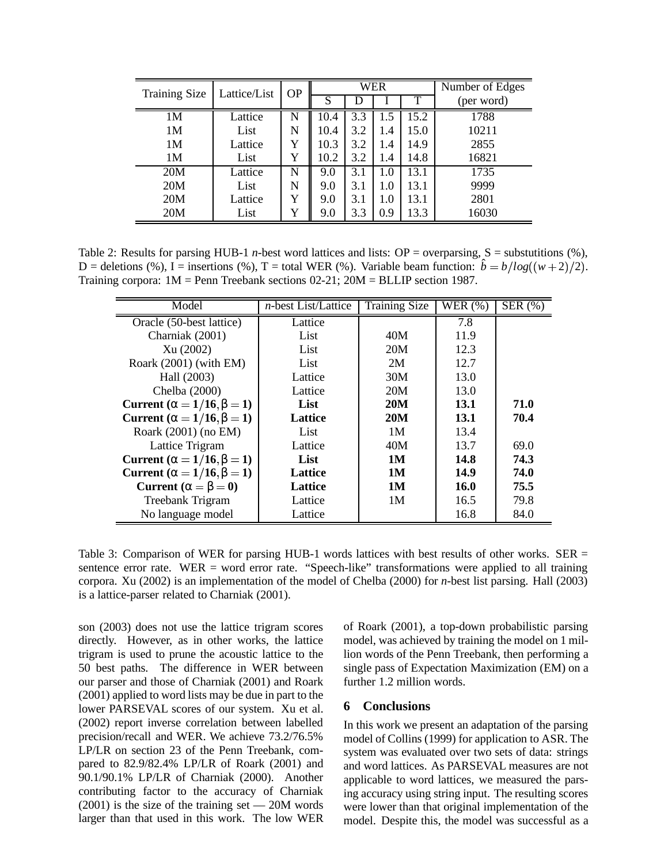| <b>Training Size</b> | Lattice/List | <b>OP</b> | WER  |     |     |      | Number of Edges |  |
|----------------------|--------------|-----------|------|-----|-----|------|-----------------|--|
|                      |              |           | S    |     |     |      | (per word)      |  |
| 1M                   | Lattice      | N         | 10.4 | 3.3 | 1.5 | 15.2 | 1788            |  |
| 1M                   | List         | N         | 10.4 | 3.2 | 1.4 | 15.0 | 10211           |  |
| 1M                   | Lattice      | Y         | 10.3 | 3.2 | 1.4 | 14.9 | 2855            |  |
| 1M                   | List         | Y         | 10.2 | 3.2 | 1.4 | 14.8 | 16821           |  |
| 20M                  | Lattice      | N         | 9.0  | 3.1 | 1.0 | 13.1 | 1735            |  |
| 20M                  | List         | N         | 9.0  | 3.1 | 1.0 | 13.1 | 9999            |  |
| 20M                  | Lattice      | Y         | 9.0  | 3.1 | 1.0 | 13.1 | 2801            |  |
| 20M                  | List         | Y         | 9.0  | 3.3 | 0.9 | 13.3 | 16030           |  |

Table 2: Results for parsing HUB-1 *n*-best word lattices and lists: OP = overparsing,  $S =$  substutitions (%), D = deletions (%), I = insertions (%), T = total WER (%). Variable beam function:  $\hat{b} = b/log((w+2)/2)$ . Training corpora: 1M = Penn Treebank sections 02-21; 20M = BLLIP section 1987.

| Model                                     | <i>n</i> -best List/Lattice | <b>Training Size</b> | $\overline{\text{WER}}$ (%) | $\overline{\text{SER } (%)}$ |
|-------------------------------------------|-----------------------------|----------------------|-----------------------------|------------------------------|
| Oracle (50-best lattice)                  | Lattice                     |                      | 7.8                         |                              |
| Charniak (2001)                           | List                        | 40M                  | 11.9                        |                              |
| Xu(2002)                                  | List                        | 20M                  | 12.3                        |                              |
| Roark $(2001)$ (with EM)                  | List                        | 2M                   | 12.7                        |                              |
| Hall (2003)                               | Lattice                     | 30M                  | 13.0                        |                              |
| Chelba (2000)                             | Lattice                     | 20M                  | 13.0                        |                              |
| Current ( $\alpha = 1/16$ , $\beta = 1$ ) | List                        | 20M                  | <b>13.1</b>                 | 71.0                         |
| Current ( $\alpha = 1/16$ , $\beta = 1$ ) | <b>Lattice</b>              | <b>20M</b>           | 13.1                        | 70.4                         |
| Roark (2001) (no EM)                      | List                        | 1M                   | 13.4                        |                              |
| Lattice Trigram                           | Lattice                     | 40M                  | 13.7                        | 69.0                         |
| Current ( $\alpha = 1/16$ , $\beta = 1$ ) | List                        | 1M                   | 14.8                        | 74.3                         |
| Current ( $\alpha = 1/16$ , $\beta = 1$ ) | <b>Lattice</b>              | 1M                   | 14.9                        | 74.0                         |
| Current ( $\alpha = \beta = 0$ )          | <b>Lattice</b>              | 1M                   | <b>16.0</b>                 | 75.5                         |
| Treebank Trigram                          | Lattice                     | 1M                   | 16.5                        | 79.8                         |
| No language model                         | Lattice                     |                      | 16.8                        | 84.0                         |

Table 3: Comparison of WER for parsing HUB-1 words lattices with best results of other works. SER = sentence error rate. WER = word error rate. "Speech-like" transformations were applied to all training corpora. Xu (2002) is an implementation of the model of Chelba (2000) for *n*-best list parsing. Hall (2003) is a lattice-parser related to Charniak (2001).

son (2003) does not use the lattice trigram scores directly. However, as in other works, the lattice trigram is used to prune the acoustic lattice to the 50 best paths. The difference in WER between our parser and those of Charniak (2001) and Roark (2001) applied to word lists may be due in part to the lower PARSEVAL scores of our system. Xu et al. (2002) report inverse correlation between labelled precision/recall and WER. We achieve 73.2/76.5% LP/LR on section 23 of the Penn Treebank, compared to 82.9/82.4% LP/LR of Roark (2001) and 90.1/90.1% LP/LR of Charniak (2000). Another contributing factor to the accuracy of Charniak  $(2001)$  is the size of the training set  $-20M$  words larger than that used in this work. The low WER of Roark (2001), a top-down probabilistic parsing model, was achieved by training the model on 1 million words of the Penn Treebank, then performing a single pass of Expectation Maximization (EM) on a further 1.2 million words.

# **6 Conclusions**

In this work we present an adaptation of the parsing model of Collins (1999) for application to ASR. The system was evaluated over two sets of data: strings and word lattices. As PARSEVAL measures are not applicable to word lattices, we measured the parsing accuracy using string input. The resulting scores were lower than that original implementation of the model. Despite this, the model was successful as a